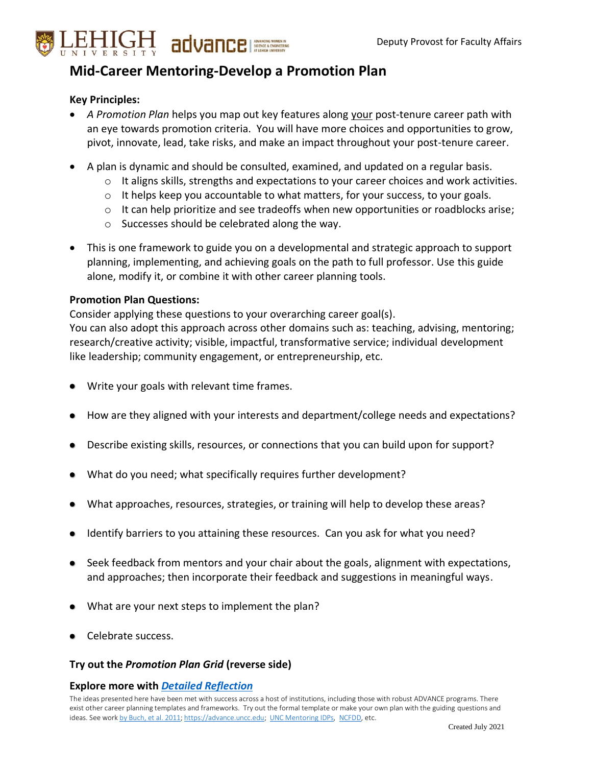

# **Mid-Career Mentoring-Develop a Promotion Plan**

### **Key Principles:**

- *A Promotion Plan* helps you map out key features along your post-tenure career path with an eye towards promotion criteria. You will have more choices and opportunities to grow, pivot, innovate, lead, take risks, and make an impact throughout your post-tenure career.
- A plan is dynamic and should be consulted, examined, and updated on a regular basis.
	- $\circ$  It aligns skills, strengths and expectations to your career choices and work activities.
	- $\circ$  It helps keep you accountable to what matters, for your success, to your goals.
	- $\circ$  It can help prioritize and see tradeoffs when new opportunities or roadblocks arise;
	- o Successes should be celebrated along the way.
- This is one framework to guide you on a developmental and strategic approach to support planning, implementing, and achieving goals on the path to full professor. Use this guide alone, modify it, or combine it with other career planning tools.

#### **Promotion Plan Questions:**

Consider applying these questions to your overarching career goal(s).

You can also adopt this approach across other domains such as: teaching, advising, mentoring; research/creative activity; visible, impactful, transformative service; individual development like leadership; community engagement, or entrepreneurship, etc.

- Write your goals with relevant time frames.
- How are they aligned with your interests and department/college needs and expectations?
- Describe existing skills, resources, or connections that you can build upon for support?
- What do you need; what specifically requires further development?
- What approaches, resources, strategies, or training will help to develop these areas?
- Identify barriers to you attaining these resources. Can you ask for what you need?
- Seek feedback from mentors and your chair about the goals, alignment with expectations, and approaches; then incorporate their feedback and suggestions in meaningful ways.
- What are your next steps to implement the plan?
- Celebrate success.

#### **Try out the** *Promotion Plan Grid* **(reverse side)**

#### **Explore more with** *[Detailed Reflection](https://advance.cc.lehigh.edu/sites/advance.cc.lehigh.edu/files/Detailed%20Reflection-FacDevPlan.pdf)*

The ideas presented here have been met with success across a host of institutions, including those with robust ADVANCE programs. There exist other career planning templates and frameworks. Try out the formal template or make your own plan with the guiding questions and ideas. See wor[k by Buch, et al. 2011;](https://www.tandfonline.com/doi/full/10.1080/00091383.2011.618081) [https://advance.uncc.edu;](https://advance.uncc.edu/) [UNC Mentoring IDPs,](https://cfe.unc.edu/mentoring/individual-development-plan-idp/) [NCFDD,](https://www.facultydiversity.org/news/posttenure9) etc.